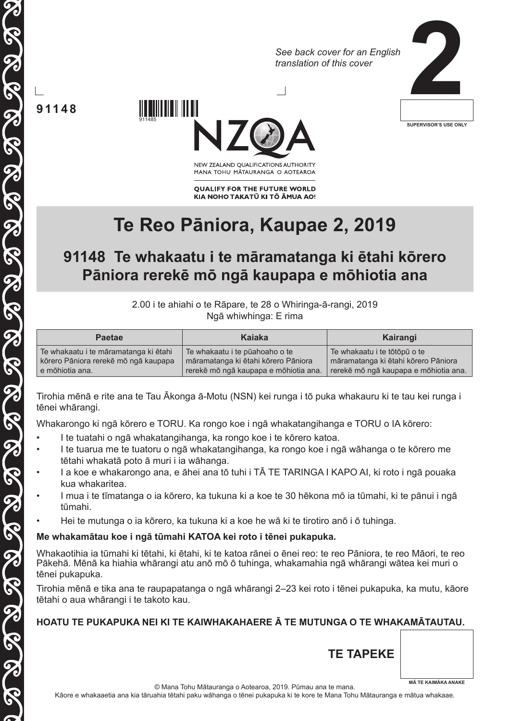*See back cover for an English translation of this cover*



**91148**

**80 %** 

911485



NEW ZEALAND OUALIFICATIONS AUTHORITY MANA TOHU MATAURANGA O AOTEAROA

**QUALIFY FOR THE FUTURE WORLD** KIA NOHO TAKATŪ KI TŌ ĀMUA AO!

# **Te Reo Pāniora, Kaupae 2, 2019**

## **91148 Te whakaatu i te māramatanga ki ētahi kōrero Pāniora rerekē mō ngā kaupapa e mōhiotia ana**

2.00 i te ahiahi o te Rāpare, te 28 o Whiringa-ā-rangi, 2019 Ngā whiwhinga: E rima

| <b>Paetae</b>                         | Kaiaka                                | Kairangi                              |
|---------------------------------------|---------------------------------------|---------------------------------------|
| Te whakaatu i te māramatanga ki ētahi | Te whakaatu i te pūahoaho o te        | Te whakaatu i te tōtōpū o te          |
| kōrero Pāniora rerekē mō ngā kaupapa  | māramatanga ki ētahi kōrero Pāniora   | māramatanga ki ētahi kōrero Pāniora   |
| Le mōhiotia ana.                      | rerekē mō ngā kaupapa e mōhiotia ana. | rerekē mō ngā kaupapa e mōhiotia ana. |

Tirohia mēnā e rite ana te Tau Ākonga ā-Motu (NSN) kei runga i tō puka whakauru ki te tau kei runga i tēnei whārangi.

Whakarongo ki ngā kōrero e TORU. Ka rongo koe i ngā whakatangihanga e TORU o IA kōrero:

- I te tuatahi o ngā whakatangihanga, ka rongo koe i te kōrero katoa.
- I te tuarua me te tuatoru o ngā whakatangihanga, ka rongo koe i ngā wāhanga o te kōrero me tētahi whakatā poto ā muri i ia wāhanga.
- I a koe e whakarongo ana, e āhei ana tō tuhi i TĀ TE TARINGA I KAPO AI, ki roto i ngā pouaka kua whakaritea.
- I mua i te tīmatanga o ia kōrero, ka tukuna ki a koe te 30 hēkona mō ia tūmahi, ki te pānui i ngā tūmahi.
- Hei te mutunga o ia kōrero, ka tukuna ki a koe he wā ki te tirotiro anō i ō tuhinga.

#### **Me whakamātau koe i ngā tūmahi KATOA kei roto i tēnei pukapuka.**

Whakaotihia ia tūmahi ki tētahi, ki ētahi, ki te katoa rānei o ēnei reo: te reo Pāniora, te reo Māori, te reo Pākehā. Mēnā ka hiahia whārangi atu anō mō ō tuhinga, whakamahia ngā whārangi wātea kei muri o tēnei pukapuka.

Tirohia mēnā e tika ana te raupapatanga o ngā whārangi 2–23 kei roto i tēnei pukapuka, ka mutu, kāore tētahi o aua whārangi i te takoto kau.

#### **HOATU TE PUKAPUKA NEI KI TE KAIWHAKAHAERE Ā TE MUTUNGA O TE WHAKAMĀTAUTAU.**

**TE TAPEKE**

**MĀ TE KAIMĀKA ANAKE**

© Mana Tohu Mātauranga o Aotearoa, 2019. Pūmau ana te mana.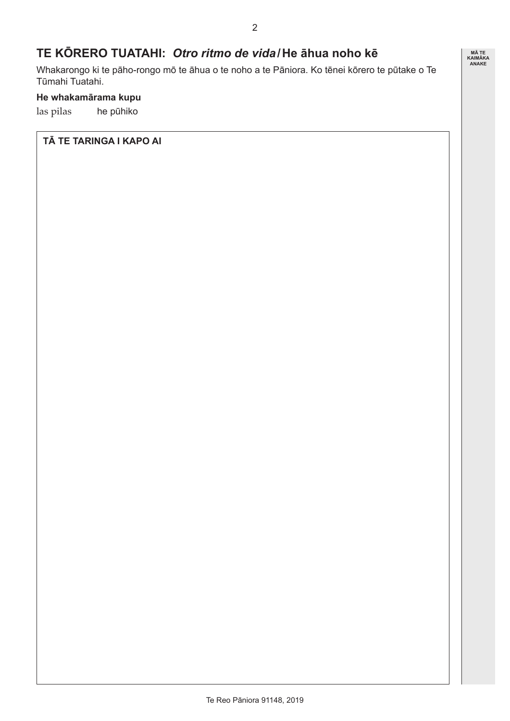### **TE KŌRERO TUATAHI:** *Otro ritmo de vida***/He āhua noho kē**

Whakarongo ki te pāho-rongo mō te āhua o te noho a te Pāniora. Ko tēnei kōrero te pūtake o Te Tūmahi Tuatahi.

#### **He whakamārama kupu**

las pilas he pūhiko

#### **TĀ TE TARINGA I KAPO AI**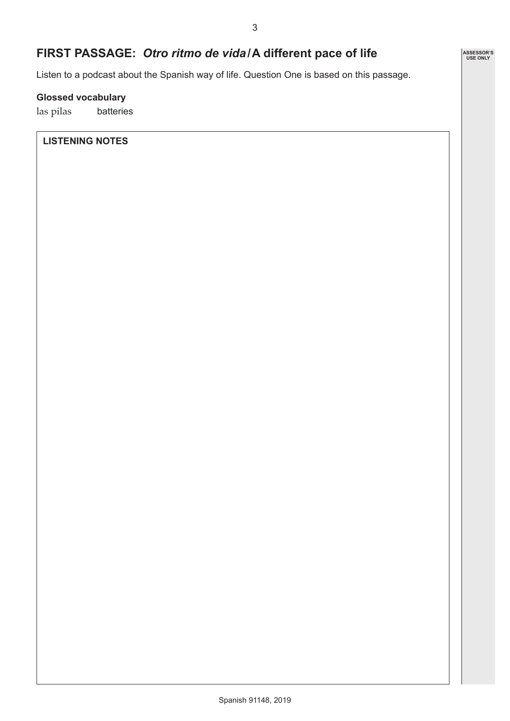**ASSESSOR'S USE ONLY**

## **FIRST PASSAGE:** *Otro ritmo de vida***/A different pace of life**

Listen to a podcast about the Spanish way of life. Question One is based on this passage.

#### **Glossed vocabulary**

las pilas batteries

#### **LISTENING NOTES**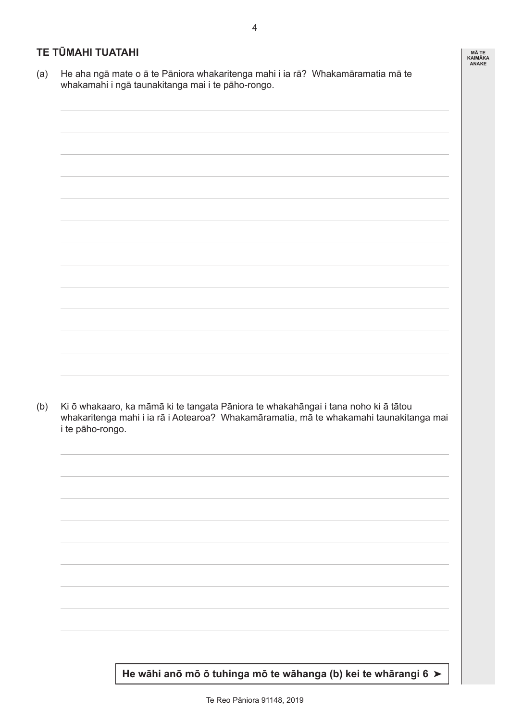#### **TE TŪMAHI TUATAHI**

(a) He aha ngā mate o ā te Pāniora whakaritenga mahi i ia rā? Whakamāramatia mā te whakamahi i ngā taunakitanga mai i te pāho-rongo.



**MĀ TE KAIMĀKA ANAKE**

**He wāhi anō mō ō tuhinga mō te wāhanga (b) kei te whārangi 6** ➤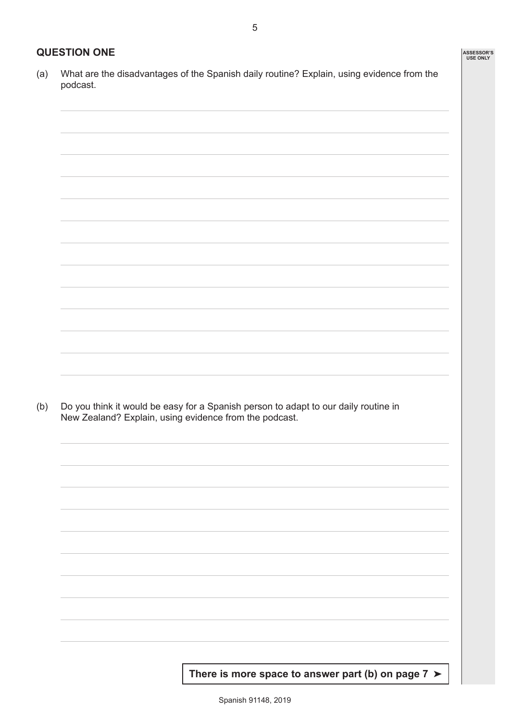#### **QUESTION ONE**

(a) What are the disadvantages of the Spanish daily routine? Explain, using evidence from the podcast.

(b) Do you think it would be easy for a Spanish person to adapt to our daily routine in New Zealand? Explain, using evidence from the podcast.

**There is more space to answer part (b) on page 7** ➤

**ASSESSOR'S USE ONLY**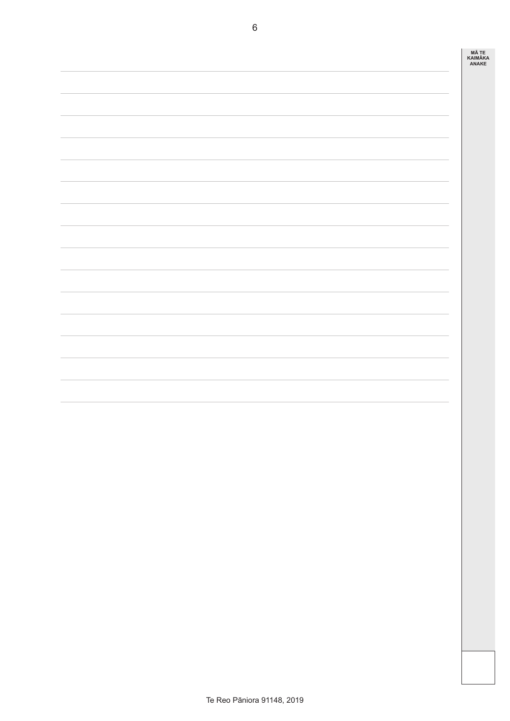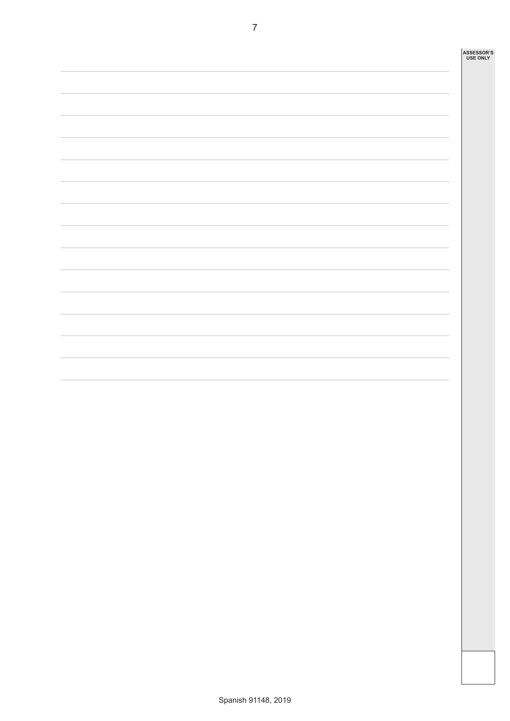| <b>ASSESSOR'S</b> |  |  |  |
|-------------------|--|--|--|
| <b>USE ONLY</b>   |  |  |  |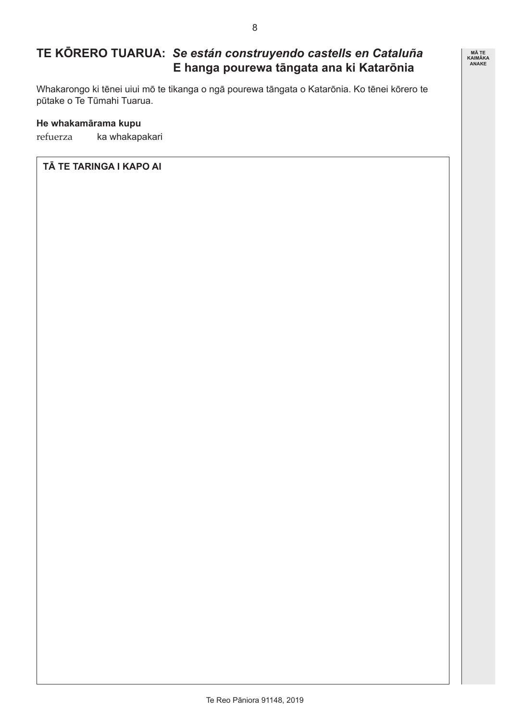## **TE KŌRERO TUARUA:** *Se están construyendo castells en Cataluña*  **E hanga pourewa tāngata ana ki Katarōnia**

Whakarongo ki tēnei uiui mō te tikanga o ngā pourewa tāngata o Katarōnia. Ko tēnei kōrero te pūtake o Te Tūmahi Tuarua.

#### **He whakamārama kupu**

refuerza ka whakapakari

#### **TĀ TE TARINGA I KAPO AI**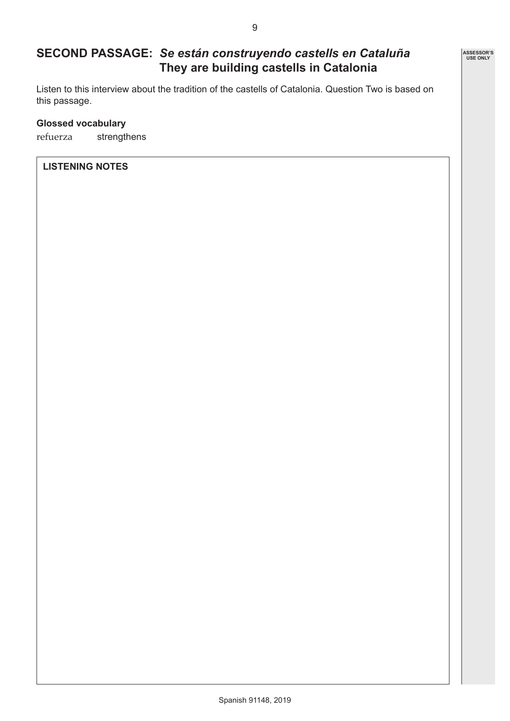### **SECOND PASSAGE:** *Se están construyendo castells en Cataluña* **They are building castells in Catalonia**

Listen to this interview about the tradition of the castells of Catalonia. Question Two is based on this passage.

#### **Glossed vocabulary**

refuerza strengthens

**LISTENING NOTES**

**ASSESSOR'S USE ONLY**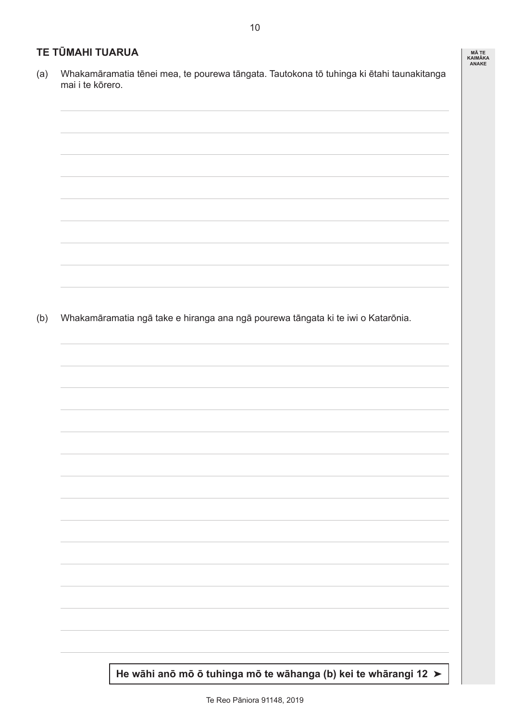#### **TE TŪMAHI TUARUA**

(a) Whakamāramatia tēnei mea, te pourewa tāngata. Tautokona tō tuhinga ki ētahi taunakitanga mai i te kōrero.

(b) Whakamāramatia ngā take e hiranga ana ngā pourewa tāngata ki te iwi o Katarōnia.

**He wāhi anō mō ō tuhinga mō te wāhanga (b) kei te whārangi 12** ➤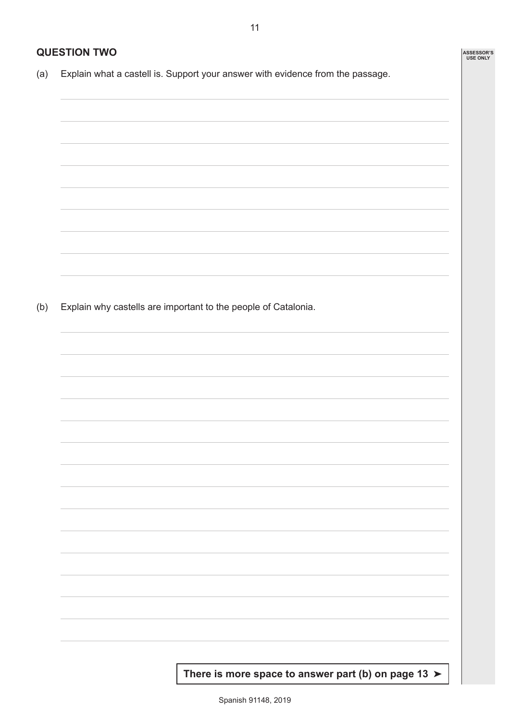**ASSESSOR'S USE ONLY**

#### **QUESTION TWO**

(a) Explain what a castell is. Support your answer with evidence from the passage.

(b) Explain why castells are important to the people of Catalonia.

**There is more space to answer part (b) on page 13** ➤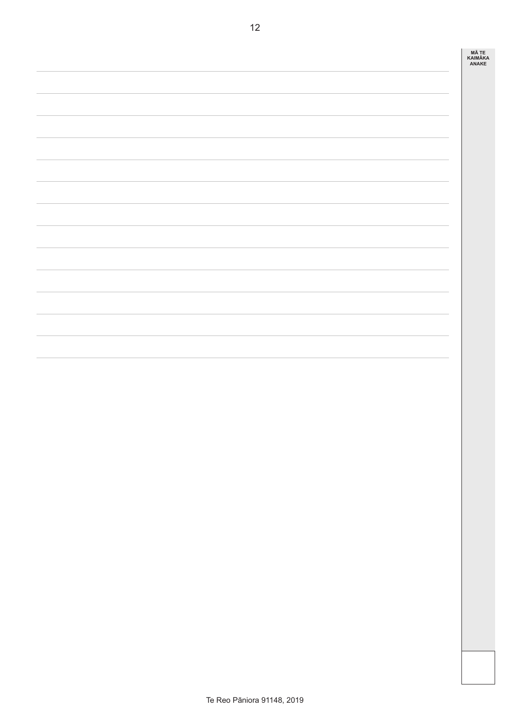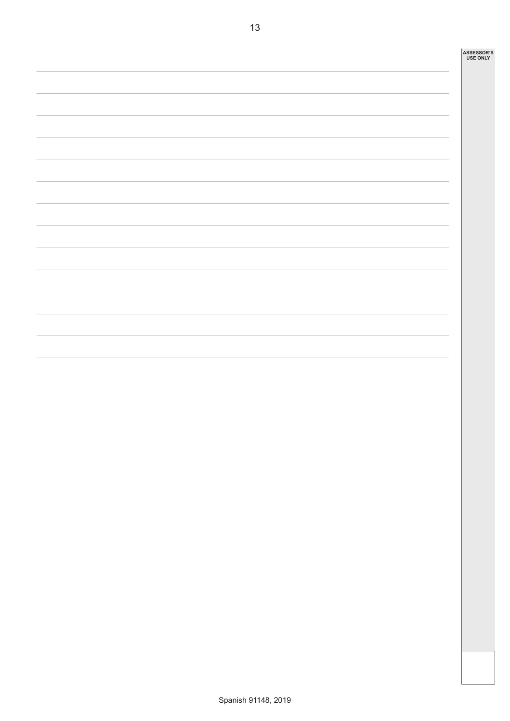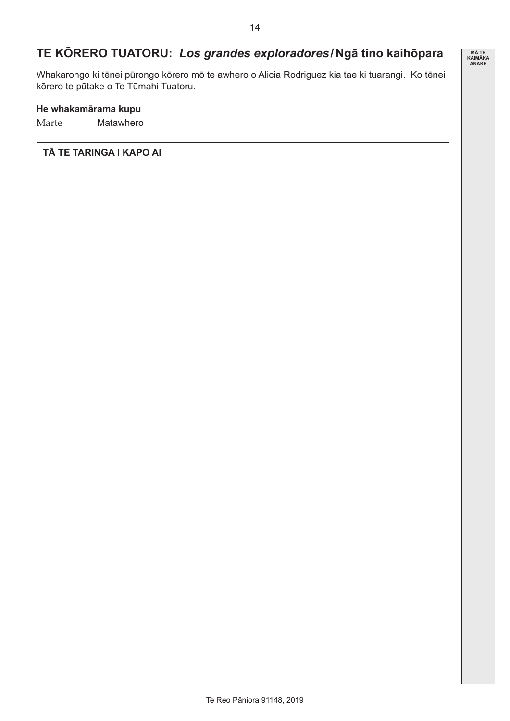## **TE KŌRERO TUATORU:** *Los grandes exploradores***/Ngā tino kaihōpara**

Whakarongo ki tēnei pūrongo kōrero mō te awhero o Alicia Rodriguez kia tae ki tuarangi. Ko tēnei kōrero te pūtake o Te Tūmahi Tuatoru.

#### **He whakamārama kupu**

Marte Matawhero

#### **TĀ TE TARINGA I KAPO AI**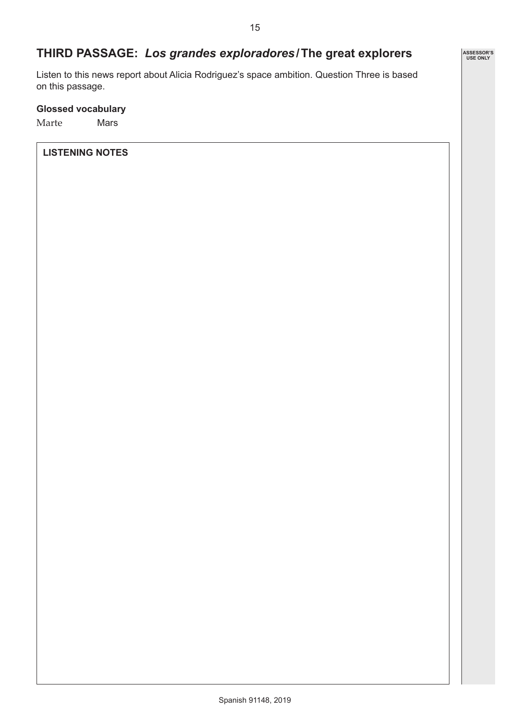## **THIRD PASSAGE:** *Los grandes exploradores***/The great explorers**

Listen to this news report about Alicia Rodriguez's space ambition. Question Three is based on this passage.

#### **Glossed vocabulary**

Marte Mars

#### **LISTENING NOTES**

**ASSESSOR'S USE ONLY**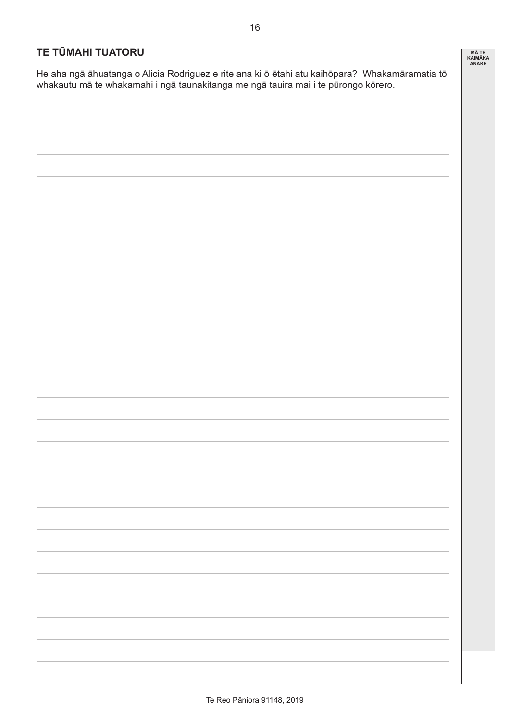#### **TE TŪMAHI TUATORU**

He aha ngā āhuatanga o Alicia Rodriguez e rite ana ki ō ētahi atu kaihōpara? Whakamāramatia tō whakautu mā te whakamahi i ngā taunakitanga me ngā tauira mai i te pūrongo kōrero.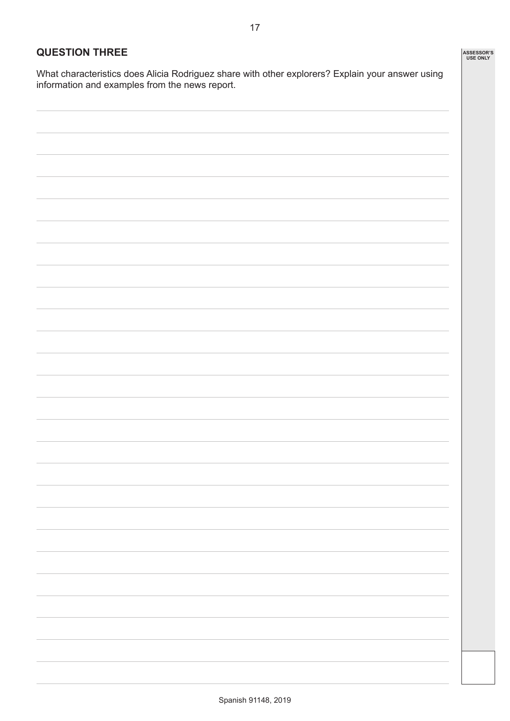#### **QUESTION THREE**

What characteristics does Alicia Rodriguez share with other explorers? Explain your answer using information and examples from the news report.

| <i>ISSESSOR'S</i> |
|-------------------|
|                   |
| ISE ONLY          |
|                   |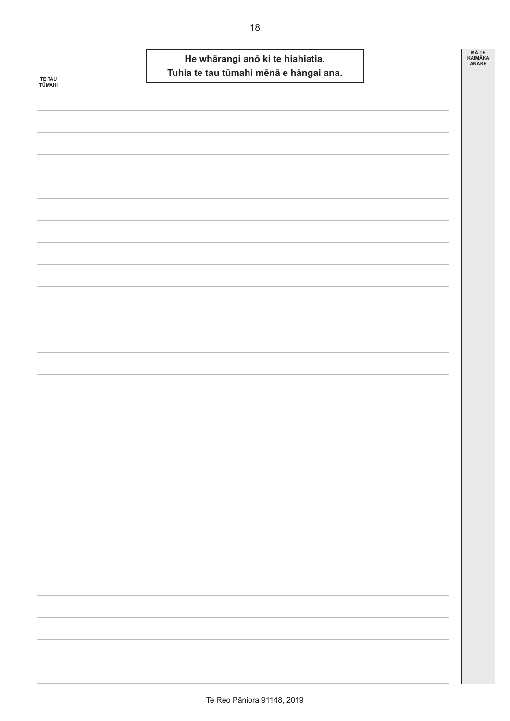| TE TAU<br>TÜMAHI | He whārangi anō ki te hiahiatia.<br>Tuhia te tau tūmahi mēnā e hāngai ana. | MÃ TE<br>KAIMĀKA<br>ANAKE |
|------------------|----------------------------------------------------------------------------|---------------------------|
|                  |                                                                            |                           |
|                  |                                                                            |                           |
|                  |                                                                            |                           |
|                  |                                                                            |                           |
|                  |                                                                            |                           |
|                  |                                                                            |                           |
|                  |                                                                            |                           |
|                  |                                                                            |                           |
|                  |                                                                            |                           |
|                  |                                                                            |                           |
|                  |                                                                            |                           |
|                  |                                                                            |                           |
|                  |                                                                            |                           |
|                  |                                                                            |                           |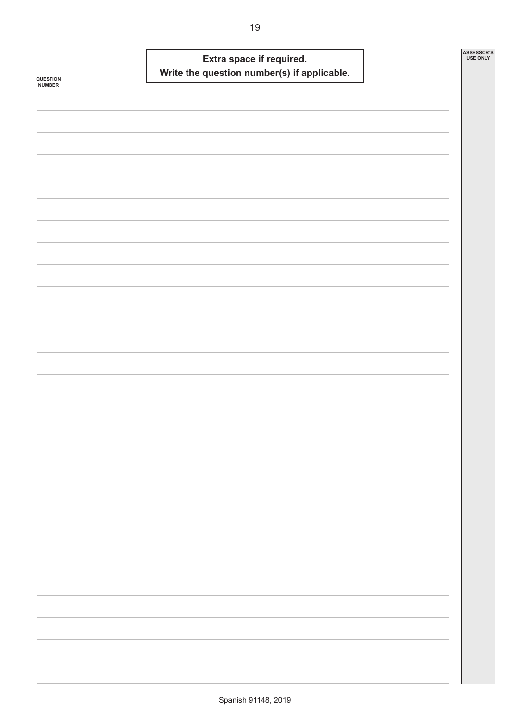|                            |  | Extra space if required. |                                             |  | ASSESSOR'S<br><b>USE ONLY</b> |
|----------------------------|--|--------------------------|---------------------------------------------|--|-------------------------------|
| <b>QUESTION<br/>NUMBER</b> |  |                          | Write the question number(s) if applicable. |  |                               |
|                            |  |                          |                                             |  |                               |
|                            |  |                          |                                             |  |                               |
|                            |  |                          |                                             |  |                               |
|                            |  |                          |                                             |  |                               |
|                            |  |                          |                                             |  |                               |
|                            |  |                          |                                             |  |                               |
|                            |  |                          |                                             |  |                               |
|                            |  |                          |                                             |  |                               |
|                            |  |                          |                                             |  |                               |
|                            |  |                          |                                             |  |                               |
|                            |  |                          |                                             |  |                               |
|                            |  |                          |                                             |  |                               |
|                            |  |                          |                                             |  |                               |
|                            |  |                          |                                             |  |                               |
|                            |  |                          |                                             |  |                               |
|                            |  |                          |                                             |  |                               |
|                            |  |                          |                                             |  |                               |
|                            |  |                          |                                             |  |                               |
|                            |  |                          |                                             |  |                               |
|                            |  |                          |                                             |  |                               |
|                            |  |                          |                                             |  |                               |
|                            |  |                          |                                             |  |                               |
|                            |  |                          |                                             |  |                               |
|                            |  |                          |                                             |  |                               |
|                            |  |                          |                                             |  |                               |
|                            |  |                          |                                             |  |                               |
|                            |  |                          |                                             |  |                               |
|                            |  |                          |                                             |  |                               |
|                            |  |                          |                                             |  |                               |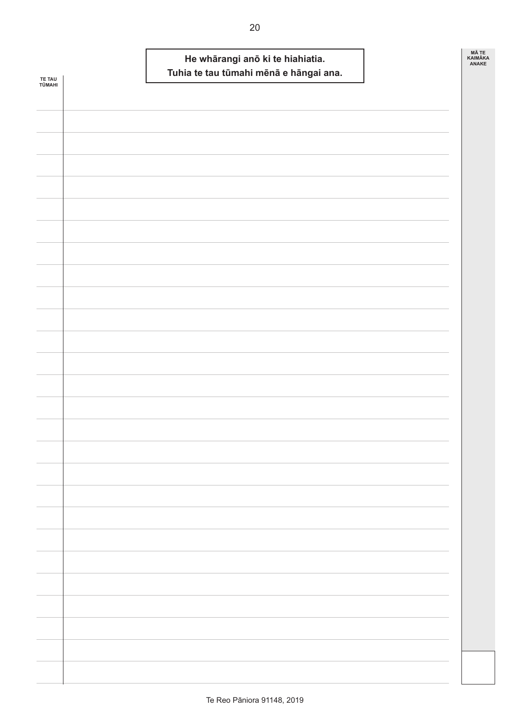| TE TAU<br>TÜMAHI | He whārangi anō ki te hiahiatia.<br>Tuhia te tau tūmahi mēnā e hāngai ana. | <b>MÄTE</b><br>KAIMĀKA<br>ANAKE |
|------------------|----------------------------------------------------------------------------|---------------------------------|
|                  |                                                                            |                                 |
|                  |                                                                            |                                 |
|                  |                                                                            |                                 |
|                  |                                                                            |                                 |
|                  |                                                                            |                                 |
|                  |                                                                            |                                 |
|                  |                                                                            |                                 |
|                  |                                                                            |                                 |
|                  |                                                                            |                                 |
|                  |                                                                            |                                 |
|                  |                                                                            |                                 |
|                  |                                                                            |                                 |
|                  |                                                                            |                                 |
|                  |                                                                            |                                 |
|                  |                                                                            |                                 |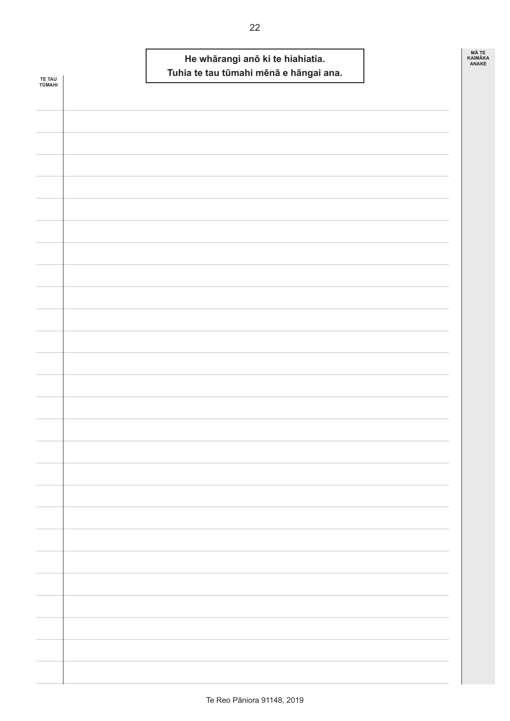| TE TAU<br>TÜMAHI | He whārangi anō ki te hiahiatia.<br>Tuhia te tau tūmahi mēnā e hāngai ana. | MÃ TE<br>KAIMĀKA<br>ANAKE |
|------------------|----------------------------------------------------------------------------|---------------------------|
|                  |                                                                            |                           |
|                  |                                                                            |                           |
|                  |                                                                            |                           |
|                  |                                                                            |                           |
|                  |                                                                            |                           |
|                  |                                                                            |                           |
|                  |                                                                            |                           |
|                  |                                                                            |                           |
|                  |                                                                            |                           |
|                  |                                                                            |                           |
|                  |                                                                            |                           |
|                  |                                                                            |                           |
|                  |                                                                            |                           |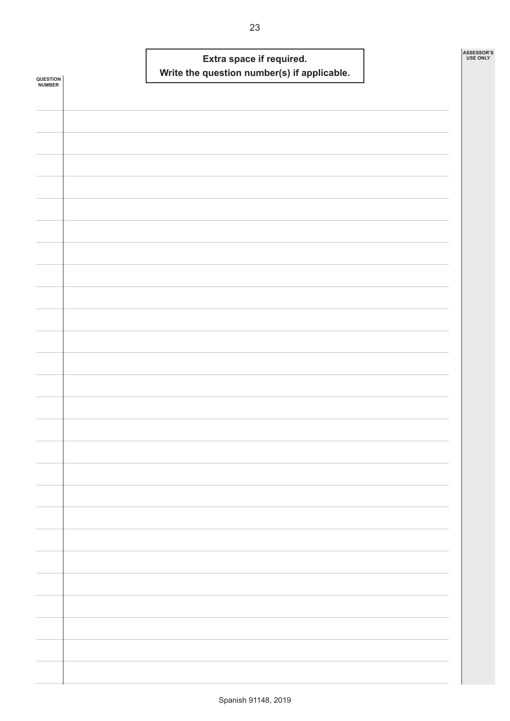|                            |  | Extra space if required.                    |  | ASSESSOR'S<br><b>USE ONLY</b> |
|----------------------------|--|---------------------------------------------|--|-------------------------------|
| <b>QUESTION<br/>NUMBER</b> |  | Write the question number(s) if applicable. |  |                               |
|                            |  |                                             |  |                               |
|                            |  |                                             |  |                               |
|                            |  |                                             |  |                               |
|                            |  |                                             |  |                               |
|                            |  |                                             |  |                               |
|                            |  |                                             |  |                               |
|                            |  |                                             |  |                               |
|                            |  |                                             |  |                               |
|                            |  |                                             |  |                               |
|                            |  |                                             |  |                               |
|                            |  |                                             |  |                               |
|                            |  |                                             |  |                               |
|                            |  |                                             |  |                               |
|                            |  |                                             |  |                               |
|                            |  |                                             |  |                               |
|                            |  |                                             |  |                               |
|                            |  |                                             |  |                               |
|                            |  |                                             |  |                               |
|                            |  |                                             |  |                               |
|                            |  |                                             |  |                               |
|                            |  |                                             |  |                               |
|                            |  |                                             |  |                               |
|                            |  |                                             |  |                               |